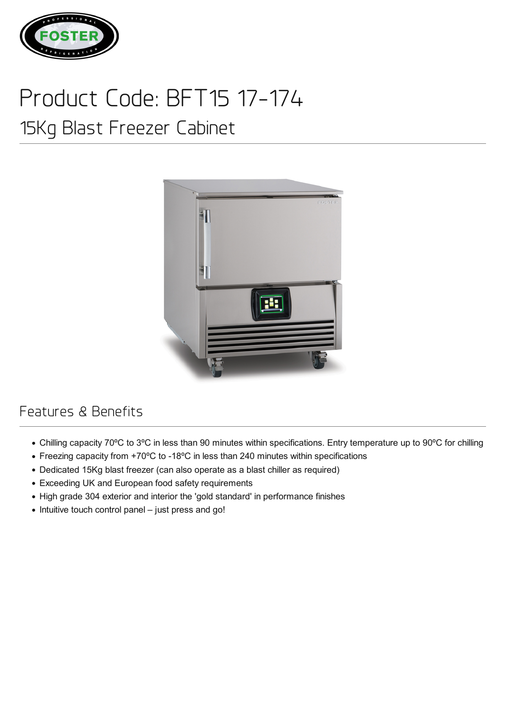

## Product Code: BFT15 17-174

## 15Kg Blast Freezer Cabinet



## Features & Benefits

- Chilling capacity 70ºC to 3ºC in less than 90 minutes within specifications. Entry temperature up to 90ºC for chilling
- Freezing capacity from +70ºC to -18ºC in less than 240 minutes within specifications
- Dedicated 15Kg blast freezer (can also operate as a blast chiller as required)
- Exceeding UK and European food safety requirements
- High grade 304 exterior and interior the 'gold standard' in performance finishes
- Intuitive touch control panel just press and go!